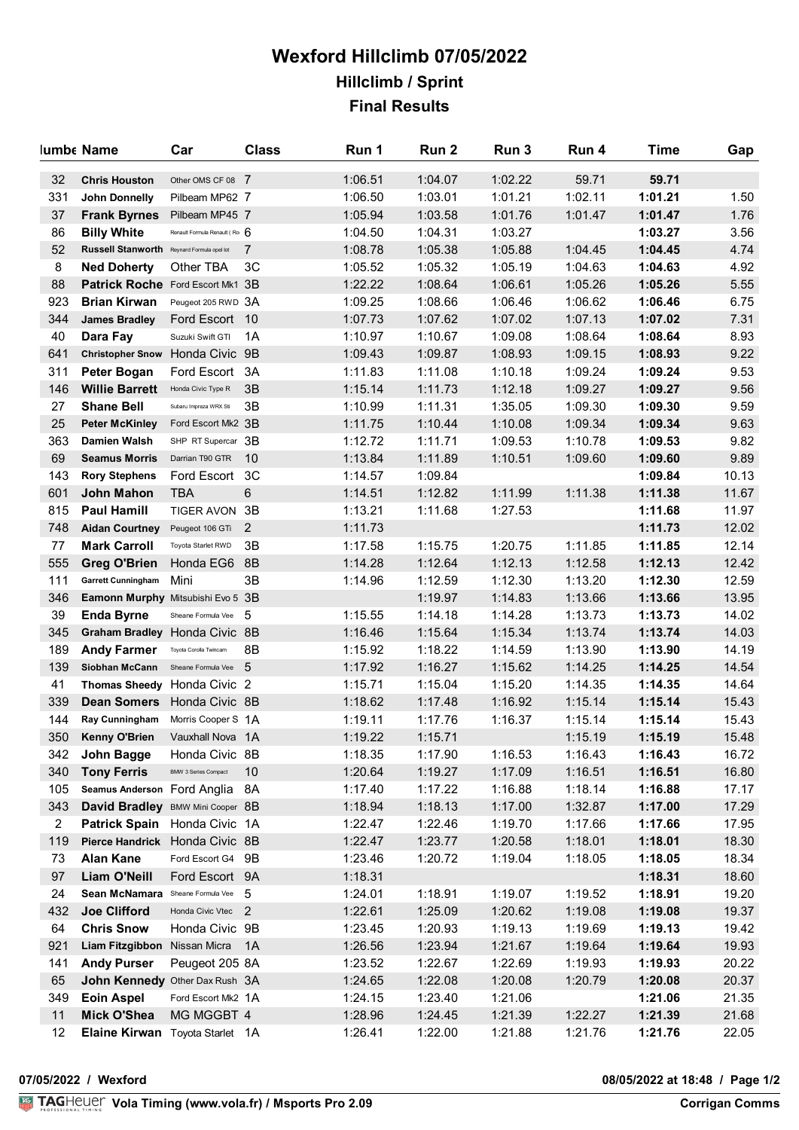## **Wexford Hillclimb 07/05/2022 Hillclimb / Sprint Final Results**

|                | lumbe Name                                 | Car                           | <b>Class</b>   | Run 1   | Run 2   | Run 3   | Run 4              | <b>Time</b>        | Gap   |
|----------------|--------------------------------------------|-------------------------------|----------------|---------|---------|---------|--------------------|--------------------|-------|
| 32             | <b>Chris Houston</b>                       | Other OMS CF 08 7             |                | 1:06.51 | 1:04.07 | 1:02.22 | 59.71              | 59.71              |       |
| 331            | John Donnelly                              | Pilbeam MP62 7                |                | 1:06.50 | 1:03.01 | 1:01.21 | 1:02.11            | 1:01.21            | 1.50  |
| 37             | <b>Frank Byrnes</b>                        | Pilbeam MP45 7                |                | 1:05.94 | 1:03.58 | 1:01.76 | 1:01.47            | 1:01.47            | 1.76  |
| 86             | <b>Billy White</b>                         | Renault Formula Renault (Ro 6 |                | 1:04.50 | 1:04.31 | 1:03.27 |                    | 1:03.27            | 3.56  |
| 52             | Russell Stanworth Reynard Formula opel lot |                               | 7              | 1:08.78 | 1:05.38 | 1:05.88 | 1:04.45            | 1:04.45            | 4.74  |
| 8              | <b>Ned Doherty</b>                         | Other TBA                     | 3C             | 1:05.52 | 1:05.32 | 1:05.19 | 1:04.63            | 1:04.63            | 4.92  |
| 88             | Patrick Roche Ford Escort Mk1 3B           |                               |                | 1:22.22 | 1:08.64 | 1:06.61 | 1:05.26            | 1:05.26            | 5.55  |
| 923            | <b>Brian Kirwan</b>                        | Peugeot 205 RWD 3A            |                | 1:09.25 | 1:08.66 | 1:06.46 | 1:06.62            | 1:06.46            | 6.75  |
| 344            | <b>James Bradley</b>                       | Ford Escort 10                |                | 1:07.73 | 1:07.62 | 1:07.02 | 1:07.13            | 1:07.02            | 7.31  |
| 40             | Dara Fay                                   | Suzuki Swift GTI              | 1A             | 1:10.97 | 1:10.67 | 1:09.08 | 1:08.64            | 1:08.64            | 8.93  |
| 641            | <b>Christopher Snow</b>                    | Honda Civic 9B                |                | 1:09.43 | 1:09.87 | 1:08.93 | 1:09.15            | 1:08.93            | 9.22  |
| 311            | Peter Bogan                                | Ford Escort 3A                |                | 1:11.83 | 1:11.08 | 1:10.18 | 1:09.24            | 1:09.24            | 9.53  |
| 146            | <b>Willie Barrett</b>                      | Honda Civic Type R            | 3B             | 1:15.14 | 1:11.73 | 1:12.18 | 1:09.27            | 1:09.27            | 9.56  |
| 27             | <b>Shane Bell</b>                          | Subaru Impreza WRX Sti        | 3B             | 1:10.99 | 1:11.31 | 1:35.05 | 1:09.30            | 1:09.30            | 9.59  |
| 25             | <b>Peter McKinley</b>                      | Ford Escort Mk2 3B            |                | 1:11.75 | 1:10.44 | 1:10.08 | 1:09.34            | 1:09.34            | 9.63  |
| 363            | Damien Walsh                               | SHP RT Supercar 3B            |                | 1:12.72 | 1:11.71 | 1:09.53 | 1:10.78            | 1:09.53            | 9.82  |
| 69             | <b>Seamus Morris</b>                       | Darrian T90 GTR               | 10             | 1:13.84 | 1:11.89 | 1:10.51 | 1:09.60            | 1:09.60            | 9.89  |
| 143            | <b>Rory Stephens</b>                       | Ford Escort                   | 3C             | 1:14.57 | 1:09.84 |         |                    | 1:09.84            | 10.13 |
| 601            | <b>John Mahon</b>                          | <b>TBA</b>                    | 6              | 1:14.51 | 1:12.82 | 1:11.99 | 1:11.38            | 1:11.38            | 11.67 |
| 815            | <b>Paul Hamill</b>                         | TIGER AVON 3B                 |                | 1:13.21 | 1:11.68 | 1:27.53 |                    | 1:11.68            | 11.97 |
| 748            | <b>Aidan Courtney</b>                      | Peugeot 106 GTi               | $\overline{2}$ | 1:11.73 |         |         |                    | 1:11.73            | 12.02 |
| 77             | <b>Mark Carroll</b>                        | Toyota Starlet RWD            | 3B             | 1:17.58 | 1:15.75 | 1:20.75 | 1:11.85            | 1:11.85            | 12.14 |
| 555            | <b>Greg O'Brien</b>                        | Honda EG6                     | 8B             | 1:14.28 | 1:12.64 | 1:12.13 | 1:12.58            | 1:12.13            | 12.42 |
| 111            | <b>Garrett Cunningham</b>                  | Mini                          | 3B             | 1:14.96 | 1:12.59 | 1:12.30 | 1:13.20            | 1:12.30            | 12.59 |
| 346            | Eamonn Murphy Mitsubishi Evo 5 3B          |                               |                |         | 1:19.97 | 1:14.83 | 1:13.66            | 1:13.66            | 13.95 |
| 39             | <b>Enda Byrne</b>                          | Sheane Formula Vee 5          |                | 1:15.55 | 1:14.18 | 1:14.28 | 1:13.73            | 1:13.73            | 14.02 |
| 345            | Graham Bradley Honda Civic 8B              |                               |                | 1:16.46 | 1:15.64 | 1:15.34 | 1:13.74            | 1:13.74            | 14.03 |
| 189            | <b>Andy Farmer</b>                         | Toyota Corolla Twincam        | 8B             | 1:15.92 | 1:18.22 | 1:14.59 | 1:13.90            | 1:13.90            | 14.19 |
| 139            | Siobhan McCann                             | Sheane Formula Vee 5          |                | 1:17.92 | 1:16.27 | 1:15.62 | 1:14.25            | 1:14.25            | 14.54 |
| 41             | Thomas Sheedy Honda Civic 2                |                               |                | 1:15.71 | 1:15.04 | 1:15.20 | 1:14.35            | 1:14.35            | 14.64 |
| 339            | <b>Dean Somers</b>                         | Honda Civic 8B                |                | 1:18.62 | 1:17.48 | 1:16.92 | 1:15.14            | 1:15.14            | 15.43 |
| 144            | <b>Ray Cunningham</b>                      | Morris Cooper S 1A            |                | 1:19.11 | 1:17.76 | 1:16.37 | 1:15.14            | 1:15.14            | 15.43 |
| 350            | Kenny O'Brien                              | Vauxhall Nova 1A              |                |         | 1:15.71 |         |                    |                    | 15.48 |
|                |                                            | Honda Civic 8B                |                | 1:19.22 | 1:17.90 | 1:16.53 | 1:15.19<br>1:16.43 | 1:15.19<br>1:16.43 |       |
| 342            | John Bagge                                 | BMW 3 Series Compact          | 10             | 1:18.35 |         |         |                    |                    | 16.72 |
| 340            | <b>Tony Ferris</b>                         |                               |                | 1:20.64 | 1:19.27 | 1:17.09 | 1:16.51            | 1:16.51            | 16.80 |
| 105            | Seamus Anderson Ford Anglia 8A             |                               |                | 1:17.40 | 1:17.22 | 1:16.88 | 1:18.14            | 1:16.88            | 17.17 |
| 343            | David Bradley BMW Mini Cooper 8B           |                               |                | 1:18.94 | 1:18.13 | 1:17.00 | 1:32.87            | 1:17.00            | 17.29 |
| $\overline{2}$ | Patrick Spain Honda Civic 1A               |                               |                | 1:22.47 | 1:22.46 | 1:19.70 | 1:17.66            | 1:17.66            | 17.95 |
| 119            | Pierce Handrick Honda Civic 8B             |                               |                | 1:22.47 | 1:23.77 | 1:20.58 | 1:18.01            | 1:18.01            | 18.30 |
| 73             | <b>Alan Kane</b>                           | Ford Escort G4 9B             |                | 1:23.46 | 1:20.72 | 1:19.04 | 1:18.05            | 1:18.05            | 18.34 |
| 97             | <b>Liam O'Neill</b>                        | Ford Escort 9A                |                | 1:18.31 |         |         |                    | 1:18.31            | 18.60 |
| 24             | Sean McNamara Sheane Formula Vee 5         |                               |                | 1:24.01 | 1:18.91 | 1:19.07 | 1:19.52            | 1:18.91            | 19.20 |
| 432            | <b>Joe Clifford</b>                        | Honda Civic Vtec 2            |                | 1:22.61 | 1:25.09 | 1:20.62 | 1:19.08            | 1:19.08            | 19.37 |
| 64             | <b>Chris Snow</b>                          | Honda Civic 9B                |                | 1:23.45 | 1:20.93 | 1:19.13 | 1:19.69            | 1:19.13            | 19.42 |
| 921            | Liam Fitzgibbon Nissan Micra               |                               | 1A             | 1:26.56 | 1:23.94 | 1:21.67 | 1:19.64            | 1:19.64            | 19.93 |
| 141            | <b>Andy Purser</b>                         | Peugeot 205 8A                |                | 1:23.52 | 1:22.67 | 1:22.69 | 1:19.93            | 1:19.93            | 20.22 |
| 65             | John Kennedy Other Dax Rush 3A             |                               |                | 1:24.65 | 1:22.08 | 1:20.08 | 1:20.79            | 1:20.08            | 20.37 |
| 349            | <b>Eoin Aspel</b>                          | Ford Escort Mk2 1A            |                | 1:24.15 | 1:23.40 | 1:21.06 |                    | 1:21.06            | 21.35 |
| 11             | <b>Mick O'Shea</b>                         | MG MGGBT 4                    |                | 1:28.96 | 1:24.45 | 1:21.39 | 1:22.27            | 1:21.39            | 21.68 |
| 12             | Elaine Kirwan Toyota Starlet 1A            |                               |                | 1:26.41 | 1:22.00 | 1:21.88 | 1:21.76            | 1:21.76            | 22.05 |

**07/05/2022 / Wexford 08/05/2022 at 18:48 / Page 1/2**